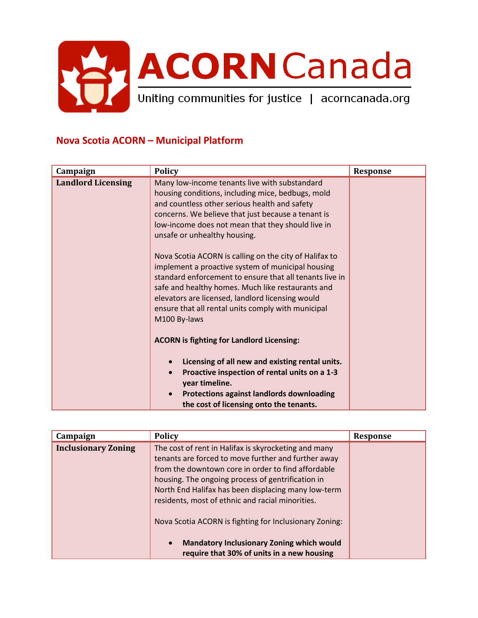

## **Nova Scotia ACORN – Municipal Platform**

| Campaign                  | <b>Policy</b>                                                                                                                                                                                                                                                                                                                                         | <b>Response</b> |
|---------------------------|-------------------------------------------------------------------------------------------------------------------------------------------------------------------------------------------------------------------------------------------------------------------------------------------------------------------------------------------------------|-----------------|
| <b>Landlord Licensing</b> | Many low-income tenants live with substandard<br>housing conditions, including mice, bedbugs, mold<br>and countless other serious health and safety<br>concerns. We believe that just because a tenant is<br>low-income does not mean that they should live in<br>unsafe or unhealthy housing.                                                        |                 |
|                           | Nova Scotia ACORN is calling on the city of Halifax to<br>implement a proactive system of municipal housing<br>standard enforcement to ensure that all tenants live in<br>safe and healthy homes. Much like restaurants and<br>elevators are licensed, landlord licensing would<br>ensure that all rental units comply with municipal<br>M100 By-laws |                 |
|                           | <b>ACORN</b> is fighting for Landlord Licensing:<br>Licensing of all new and existing rental units.<br>Proactive inspection of rental units on a 1-3<br>$\bullet$<br>year timeline.<br><b>Protections against landlords downloading</b><br>$\bullet$<br>the cost of licensing onto the tenants.                                                       |                 |

| Campaign                   | <b>Policy</b>                                                                                                                                                                                                                                                                                                                     | Response |
|----------------------------|-----------------------------------------------------------------------------------------------------------------------------------------------------------------------------------------------------------------------------------------------------------------------------------------------------------------------------------|----------|
| <b>Inclusionary Zoning</b> | The cost of rent in Halifax is skyrocketing and many<br>tenants are forced to move further and further away<br>from the downtown core in order to find affordable<br>housing. The ongoing process of gentrification in<br>North End Halifax has been displacing many low-term<br>residents, most of ethnic and racial minorities. |          |
|                            | Nova Scotia ACORN is fighting for Inclusionary Zoning:                                                                                                                                                                                                                                                                            |          |
|                            | <b>Mandatory Inclusionary Zoning which would</b><br>$\bullet$<br>require that 30% of units in a new housing                                                                                                                                                                                                                       |          |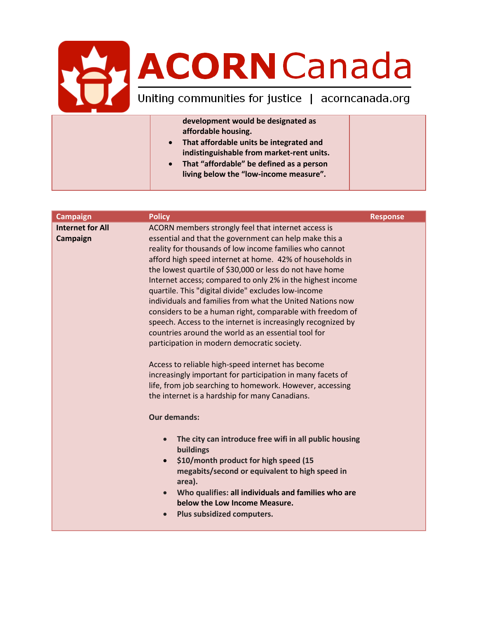## **ACORN Canada**

| development would be designated as                    |  |
|-------------------------------------------------------|--|
| affordable housing.                                   |  |
| That affordable units be integrated and<br>$\bullet$  |  |
| indistinguishable from market-rent units.             |  |
| That "affordable" be defined as a person<br>$\bullet$ |  |
| living below the "low-income measure".                |  |
|                                                       |  |

| <b>Campaign</b>                     | <b>Policy</b>                                                                                                                                                                                                                                                                                                                                                                                                                                                                                                                                   | <b>Response</b> |
|-------------------------------------|-------------------------------------------------------------------------------------------------------------------------------------------------------------------------------------------------------------------------------------------------------------------------------------------------------------------------------------------------------------------------------------------------------------------------------------------------------------------------------------------------------------------------------------------------|-----------------|
| <b>Internet for All</b><br>Campaign | ACORN members strongly feel that internet access is<br>essential and that the government can help make this a<br>reality for thousands of low income families who cannot<br>afford high speed internet at home. 42% of households in<br>the lowest quartile of \$30,000 or less do not have home<br>Internet access; compared to only 2% in the highest income<br>quartile. This "digital divide" excludes low-income<br>individuals and families from what the United Nations now<br>considers to be a human right, comparable with freedom of |                 |
|                                     | speech. Access to the internet is increasingly recognized by<br>countries around the world as an essential tool for<br>participation in modern democratic society.<br>Access to reliable high-speed internet has become<br>increasingly important for participation in many facets of<br>life, from job searching to homework. However, accessing<br>the internet is a hardship for many Canadians.                                                                                                                                             |                 |
|                                     | <b>Our demands:</b>                                                                                                                                                                                                                                                                                                                                                                                                                                                                                                                             |                 |
|                                     | The city can introduce free wifi in all public housing<br>$\bullet$<br>buildings                                                                                                                                                                                                                                                                                                                                                                                                                                                                |                 |
|                                     | \$10/month product for high speed (15<br>$\bullet$<br>megabits/second or equivalent to high speed in<br>area).                                                                                                                                                                                                                                                                                                                                                                                                                                  |                 |
|                                     | Who qualifies: all individuals and families who are<br>$\bullet$<br>below the Low Income Measure.                                                                                                                                                                                                                                                                                                                                                                                                                                               |                 |
|                                     | Plus subsidized computers.<br>$\bullet$                                                                                                                                                                                                                                                                                                                                                                                                                                                                                                         |                 |